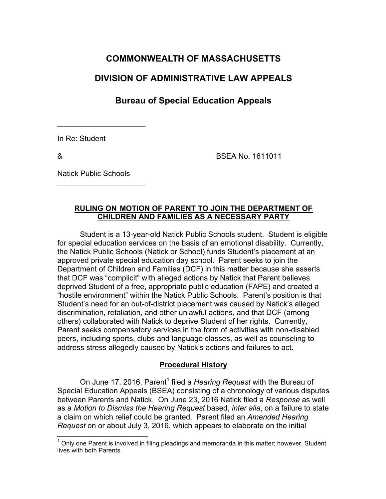# **COMMONWEALTH OF MASSACHUSETTS**

# **DIVISION OF ADMINISTRATIVE LAW APPEALS**

# **Bureau of Special Education Appeals**

In Re: Student

& BSEA No. 1611011

Natick Public Schools

 $\overline{\phantom{a}}$  , where  $\overline{\phantom{a}}$  , where  $\overline{\phantom{a}}$  , where  $\overline{\phantom{a}}$ 

## **RULING ON MOTION OF PARENT TO JOIN THE DEPARTMENT OF CHILDREN AND FAMILIES AS A NECESSARY PARTY**

Student is a 13-year-old Natick Public Schools student. Student is eligible for special education services on the basis of an emotional disability. Currently, the Natick Public Schools (Natick or School) funds Student's placement at an approved private special education day school. Parent seeks to join the Department of Children and Families (DCF) in this matter because she asserts that DCF was "complicit" with alleged actions by Natick that Parent believes deprived Student of a free, appropriate public education (FAPE) and created a "hostile environment" within the Natick Public Schools. Parent's position is that Student's need for an out-of-district placement was caused by Natick's alleged discrimination, retaliation, and other unlawful actions, and that DCF (among others) collaborated with Natick to deprive Student of her rights. Currently, Parent seeks compensatory services in the form of activities with non-disabled peers, including sports, clubs and language classes, as well as counseling to address stress allegedly caused by Natick's actions and failures to act.

# **Procedural History**

On June 17, 2016, Parent<sup>1</sup> filed a *Hearing Request* with the Bureau of Special Education Appeals (BSEA) consisting of a chronology of various disputes between Parents and Natick. On June 23, 2016 Natick filed a *Response* as well as a *Motion to Dismiss the Hearing Request* based, *inter alia*, on a failure to state a claim on which relief could be granted. Parent filed an *Amended Hearing Request* on or about July 3, 2016, which appears to elaborate on the initial

<sup>1</sup> Only one Parent is involved in filing pleadings and memoranda in this matter; however, Student lives with both Parents.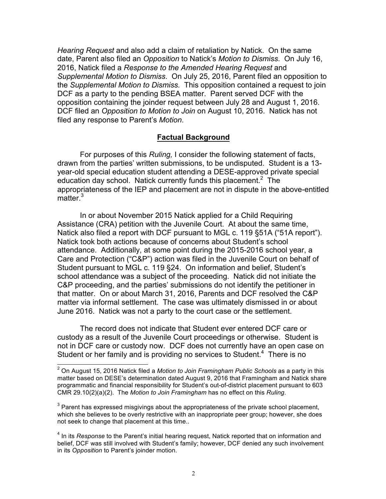*Hearing Request* and also add a claim of retaliation by Natick. On the same date, Parent also filed an *Opposition* to Natick's *Motion to Dismiss*. On July 16, 2016, Natick filed a *Response to the Amended Hearing Request* and *Supplemental Motion to Dismiss*. On July 25, 2016, Parent filed an opposition to the *Supplemental Motion to Dismiss.* This opposition contained a request to join DCF as a party to the pending BSEA matter. Parent served DCF with the opposition containing the joinder request between July 28 and August 1, 2016. DCF filed an *Opposition to Motion to Join* on August 10, 2016. Natick has not filed any response to Parent's *Motion*.

#### **Factual Background**

For purposes of this *Ruling,* I consider the following statement of facts, drawn from the parties' written submissions, to be undisputed. Student is a 13 year-old special education student attending a DESE-approved private special education day school. Natick currently funds this placement.<sup>2</sup> The appropriateness of the IEP and placement are not in dispute in the above-entitled matter.<sup>3</sup>

In or about November 2015 Natick applied for a Child Requiring Assistance (CRA) petition with the Juvenile Court. At about the same time, Natick also filed a report with DCF pursuant to MGL c. 119 §51A ("51A report"). Natick took both actions because of concerns about Student's school attendance. Additionally, at some point during the 2015-2016 school year, a Care and Protection ("C&P") action was filed in the Juvenile Court on behalf of Student pursuant to MGL c. 119 §24. On information and belief, Student's school attendance was a subject of the proceeding. Natick did not initiate the C&P proceeding, and the parties' submissions do not identify the petitioner in that matter. On or about March 31, 2016, Parents and DCF resolved the C&P matter via informal settlement. The case was ultimately dismissed in or about June 2016. Natick was not a party to the court case or the settlement.

The record does not indicate that Student ever entered DCF care or custody as a result of the Juvenile Court proceedings or otherwise. Student is not in DCF care or custody now. DCF does not currently have an open case on Student or her family and is providing no services to Student. $4$  There is no

<sup>2</sup> On August 15, 2016 Natick filed a *Motion to Join Framingham Public Schools* as a party in this matter based on DESE's determination dated August 9, 2016 that Framingham and Natick share programmatic and financial responsibility for Student's out-of-district placement pursuant to 603 CMR 29.10(2)(a)(2). The *Motion to Join Framingham* has no effect on this *Ruling*.

 $3$  Parent has expressed misgivings about the appropriateness of the private school placement, which she believes to be overly restrictive with an inappropriate peer group; however, she does not seek to change that placement at this time..

<sup>&</sup>lt;sup>4</sup> In its *Response* to the Parent's initial hearing request, Natick reported that on information and belief, DCF was still involved with Student's family; however, DCF denied any such involvement in its *Opposition* to Parent's joinder motion.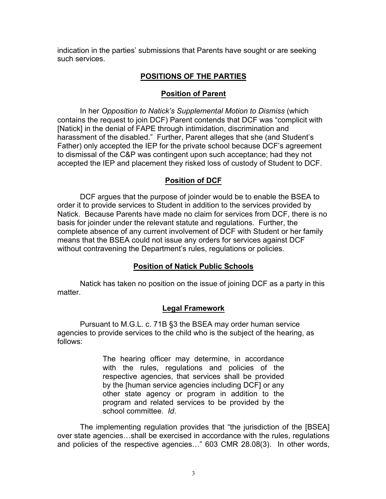indication in the parties' submissions that Parents have sought or are seeking such services.

# **POSITIONS OF THE PARTIES**

## **Position of Parent**

In her *Opposition to Natick's Supplemental Motion to Dismiss* (which contains the request to join DCF) Parent contends that DCF was "complicit with [Natick] in the denial of FAPE through intimidation, discrimination and harassment of the disabled." Further, Parent alleges that she (and Student's Father) only accepted the IEP for the private school because DCF's agreement to dismissal of the C&P was contingent upon such acceptance; had they not accepted the IEP and placement they risked loss of custody of Student to DCF.

## **Position of DCF**

DCF argues that the purpose of joinder would be to enable the BSEA to order it to provide services to Student in addition to the services provided by Natick. Because Parents have made no claim for services from DCF, there is no basis for joinder under the relevant statute and regulations. Further, the complete absence of any current involvement of DCF with Student or her family means that the BSEA could not issue any orders for services against DCF without contravening the Department's rules, regulations or policies.

### **Position of Natick Public Schools**

Natick has taken no position on the issue of joining DCF as a party in this matter.

### **Legal Framework**

Pursuant to M.G.L. c. 71B §3 the BSEA may order human service agencies to provide services to the child who is the subject of the hearing, as follows:

> The hearing officer may determine, in accordance with the rules, regulations and policies of the respective agencies, that services shall be provided by the [human service agencies including DCF] or any other state agency or program in addition to the program and related services to be provided by the school committee. *Id*.

The implementing regulation provides that "the jurisdiction of the [BSEA] over state agencies…shall be exercised in accordance with the rules, regulations and policies of the respective agencies…" 603 CMR 28.08(3). In other words,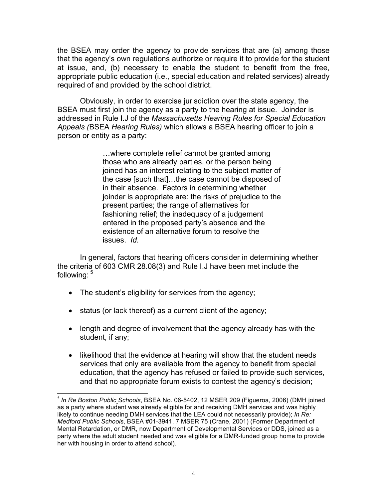the BSEA may order the agency to provide services that are (a) among those that the agency's own regulations authorize or require it to provide for the student at issue, and, (b) necessary to enable the student to benefit from the free, appropriate public education (i.e., special education and related services) already required of and provided by the school district.

Obviously, in order to exercise jurisdiction over the state agency, the BSEA must first join the agency as a party to the hearing at issue. Joinder is addressed in Rule I.J of the *Massachusetts Hearing Rules for Special Education Appeals (*BSEA *Hearing Rules)* which allows a BSEA hearing officer to join a person or entity as a party:

> …where complete relief cannot be granted among those who are already parties, or the person being joined has an interest relating to the subject matter of the case [such that]…the case cannot be disposed of in their absence. Factors in determining whether joinder is appropriate are: the risks of prejudice to the present parties; the range of alternatives for fashioning relief; the inadequacy of a judgement entered in the proposed party's absence and the existence of an alternative forum to resolve the issues. *Id*.

In general, factors that hearing officers consider in determining whether the criteria of 603 CMR 28.08(3) and Rule I.J have been met include the following: 5

- The student's eligibility for services from the agency;
- status (or lack thereof) as a current client of the agency;
- length and degree of involvement that the agency already has with the student, if any;
- likelihood that the evidence at hearing will show that the student needs services that only are available from the agency to benefit from special education, that the agency has refused or failed to provide such services, and that no appropriate forum exists to contest the agency's decision;

 <sup>5</sup> *In Re Boston Public Schools*, BSEA No. 06-5402, 12 MSER 209 (Figueroa, 2006) (DMH joined as a party where student was already eligible for and receiving DMH services and was highly likely to continue needing DMH services that the LEA could not necessarily provide); *In Re: Medford Public Schools*, BSEA #01-3941, 7 MSER 75 (Crane, 2001) (Former Department of Mental Retardation, or DMR, now Department of Developmental Services or DDS, joined as a party where the adult student needed and was eligible for a DMR-funded group home to provide her with housing in order to attend school).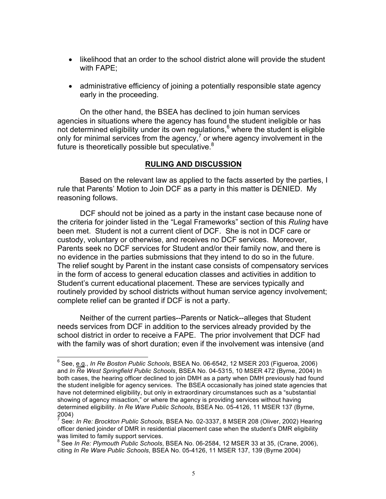- likelihood that an order to the school district alone will provide the student with FAPE;
- administrative efficiency of joining a potentially responsible state agency early in the proceeding.

On the other hand, the BSEA has declined to join human services agencies in situations where the agency has found the student ineligible or has not determined eligibility under its own regulations, $6$  where the student is eligible only for minimal services from the agency, $7$  or where agency involvement in the future is theoretically possible but speculative.<sup>8</sup>

### **RULING AND DISCUSSION**

Based on the relevant law as applied to the facts asserted by the parties, I rule that Parents' Motion to Join DCF as a party in this matter is DENIED. My reasoning follows.

DCF should not be joined as a party in the instant case because none of the criteria for joinder listed in the "Legal Frameworks" section of this *Ruling* have been met. Student is not a current client of DCF. She is not in DCF care or custody, voluntary or otherwise, and receives no DCF services. Moreover, Parents seek no DCF services for Student and/or their family now, and there is no evidence in the parties submissions that they intend to do so in the future. The relief sought by Parent in the instant case consists of compensatory services in the form of access to general education classes and activities in addition to Student's current educational placement. These are services typically and routinely provided by school districts without human service agency involvement; complete relief can be granted if DCF is not a party.

Neither of the current parties--Parents or Natick--alleges that Student needs services from DCF in addition to the services already provided by the school district in order to receive a FAPE. The prior involvement that DCF had with the family was of short duration; even if the involvement was intensive (and

<sup>6</sup> See, e.g., *In Re Boston Public Schools*, BSEA No. 06-6542, 12 MSER 203 (Figueroa, 2006) and *In Re West Springfield Public Schools*, BSEA No. 04-5315, 10 MSER 472 (Byrne, 2004) In both cases, the hearing officer declined to join DMH as a party when DMH previously had found the student ineligible for agency services. The BSEA occasionally has joined state agencies that have not determined eligibility, but only in extraordinary circumstances such as a "substantial showing of agency misaction," or where the agency is providing services without having determined eligibility. *In Re Ware Public Schools*, BSEA No. 05-4126, 11 MSER 137 (Byrne, 2004)

<sup>7</sup> See: *In Re: Brockton Public Schools*, BSEA No. 02-3337, 8 MSER 208 (Oliver, 2002) Hearing officer denied joinder of DMR in residential placement case when the student's DMR eligibility was limited to family support services.

<sup>8</sup> See *In Re: Plymouth Public Schools*, BSEA No. 06-2584, 12 MSER 33 at 35, (Crane, 2006), citing *In Re Ware Public Schools*, BSEA No. 05-4126, 11 MSER 137, 139 (Byrne 2004)